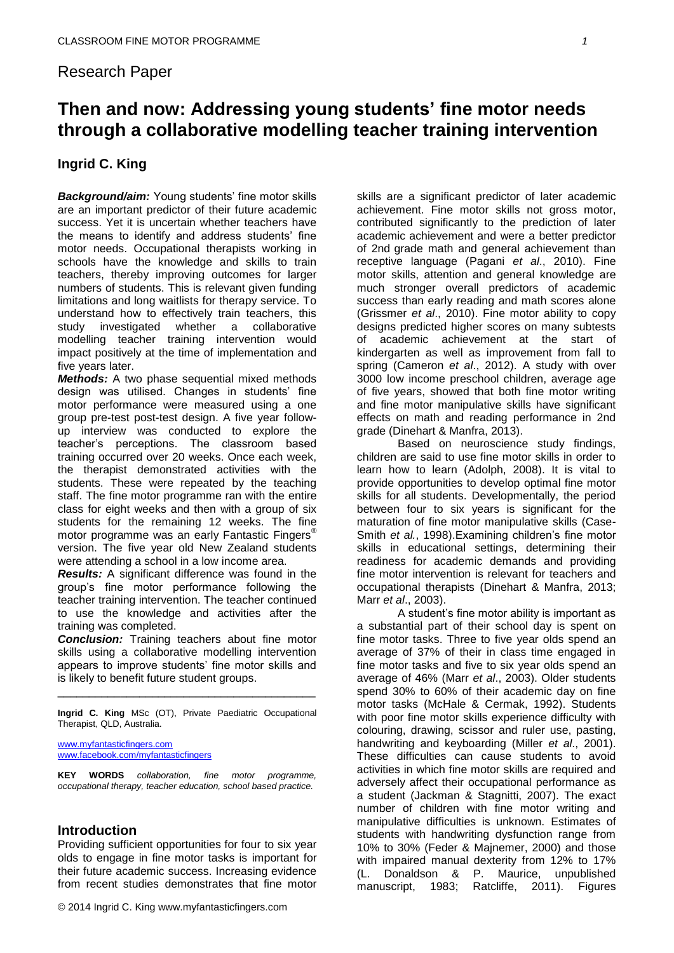# Research Paper

# **Then and now: Addressing young students' fine motor needs through a collaborative modelling teacher training intervention**

# **Ingrid C. King**

*Background/aim:* Young students' fine motor skills are an important predictor of their future academic success. Yet it is uncertain whether teachers have the means to identify and address students' fine motor needs. Occupational therapists working in schools have the knowledge and skills to train teachers, thereby improving outcomes for larger numbers of students. This is relevant given funding limitations and long waitlists for therapy service. To understand how to effectively train teachers, this study investigated whether a collaborative modelling teacher training intervention would impact positively at the time of implementation and five years later.

*Methods:* A two phase sequential mixed methods design was utilised. Changes in students' fine motor performance were measured using a one group pre-test post-test design. A five year followup interview was conducted to explore the teacher's perceptions. The classroom based training occurred over 20 weeks. Once each week, the therapist demonstrated activities with the students. These were repeated by the teaching staff. The fine motor programme ran with the entire class for eight weeks and then with a group of six students for the remaining 12 weeks. The fine motor programme was an early Fantastic Fingers<sup>®</sup> version. The five year old New Zealand students were attending a school in a low income area.

*Results:* A significant difference was found in the group's fine motor performance following the teacher training intervention. The teacher continued to use the knowledge and activities after the training was completed.

*Conclusion:* Training teachers about fine motor skills using a collaborative modelling intervention appears to improve students' fine motor skills and is likely to benefit future student groups.

**Ingrid C. King** MSc (OT), Private Paediatric Occupational Therapist, QLD, Australia.

\_\_\_\_\_\_\_\_\_\_\_\_\_\_\_\_\_\_\_\_\_\_\_\_\_\_\_\_\_\_\_\_\_\_\_\_\_\_\_\_\_

[www.myfantasticfingers.com](http://www.myfantasticfingers.com/) [www.facebook.com/myfantasticfingers](http://www.facebook.com/myfantasticfingers)

**KEY WORDS** *collaboration, fine motor programme, occupational therapy, teacher education, school based practice.*

#### **Introduction**

Providing sufficient opportunities for four to six year olds to engage in fine motor tasks is important for their future academic success. Increasing evidence from recent studies demonstrates that fine motor

skills are a significant predictor of later academic achievement. Fine motor skills not gross motor, contributed significantly to the prediction of later academic achievement and were a better predictor of 2nd grade math and general achievement than receptive language (Pagani *et al*., 2010). Fine motor skills, attention and general knowledge are much stronger overall predictors of academic success than early reading and math scores alone (Grissmer *et al*., 2010). Fine motor ability to copy designs predicted higher scores on many subtests of academic achievement at the start of kindergarten as well as improvement from fall to spring (Cameron *et al*., 2012). A study with over 3000 low income preschool children, average age of five years, showed that both fine motor writing and fine motor manipulative skills have significant effects on math and reading performance in 2nd grade (Dinehart & Manfra, 2013).

Based on neuroscience study findings, children are said to use fine motor skills in order to learn how to learn (Adolph, 2008). It is vital to provide opportunities to develop optimal fine motor skills for all students. Developmentally, the period between four to six years is significant for the maturation of fine motor manipulative skills (Case-Smith *et al.*, 1998).Examining children's fine motor skills in educational settings, determining their readiness for academic demands and providing fine motor intervention is relevant for teachers and occupational therapists (Dinehart & Manfra, 2013; Marr *et al*., 2003).

A student's fine motor ability is important as a substantial part of their school day is spent on fine motor tasks. Three to five year olds spend an average of 37% of their in class time engaged in fine motor tasks and five to six year olds spend an average of 46% (Marr *et al*., 2003). Older students spend 30% to 60% of their academic day on fine motor tasks (McHale & Cermak, 1992). Students with poor fine motor skills experience difficulty with colouring, drawing, scissor and ruler use, pasting, handwriting and keyboarding (Miller *et al*., 2001). These difficulties can cause students to avoid activities in which fine motor skills are required and adversely affect their occupational performance as a student (Jackman & Stagnitti, 2007). The exact number of children with fine motor writing and manipulative difficulties is unknown. Estimates of students with handwriting dysfunction range from 10% to 30% (Feder & Majnemer, 2000) and those with impaired manual dexterity from 12% to 17% (L. Donaldson & P. Maurice, unpublished manuscript, 1983; Ratcliffe, 2011). Figures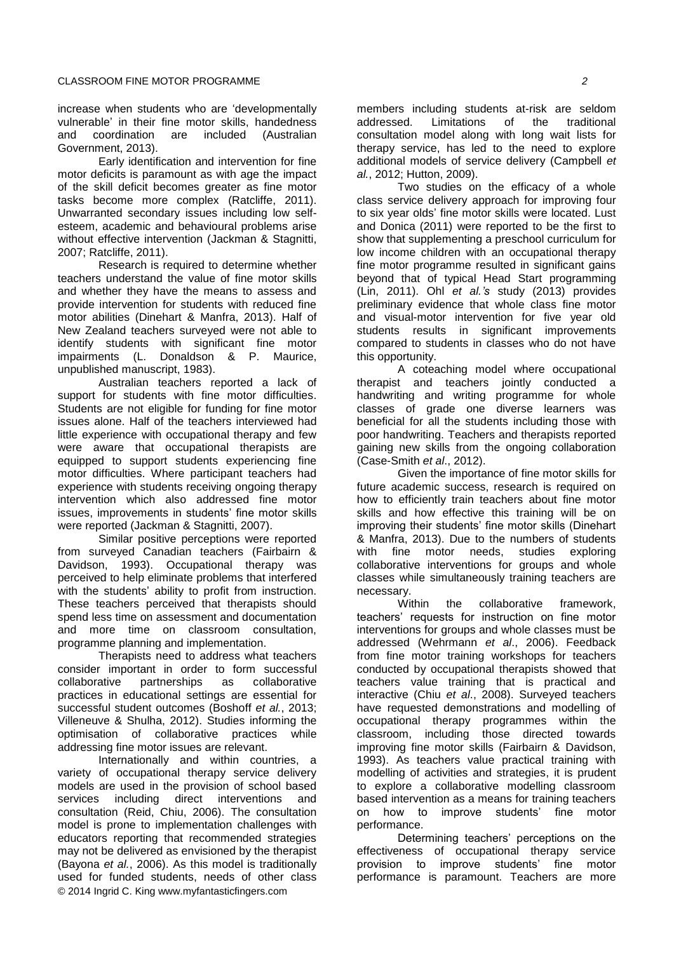increase when students who are 'developmentally vulnerable' in their fine motor skills, handedness<br>and coordination are included (Australian coordination are included (Australian Government, 2013).

Early identification and intervention for fine motor deficits is paramount as with age the impact of the skill deficit becomes greater as fine motor tasks become more complex (Ratcliffe, 2011). Unwarranted secondary issues including low selfesteem, academic and behavioural problems arise without effective intervention (Jackman & Stagnitti, 2007; Ratcliffe, 2011).

Research is required to determine whether teachers understand the value of fine motor skills and whether they have the means to assess and provide intervention for students with reduced fine motor abilities (Dinehart & Manfra, 2013). Half of New Zealand teachers surveyed were not able to identify students with significant fine motor impairments (L. Donaldson & P. Maurice, unpublished manuscript, 1983).

Australian teachers reported a lack of support for students with fine motor difficulties. Students are not eligible for funding for fine motor issues alone. Half of the teachers interviewed had little experience with occupational therapy and few were aware that occupational therapists are equipped to support students experiencing fine motor difficulties. Where participant teachers had experience with students receiving ongoing therapy intervention which also addressed fine motor issues, improvements in students' fine motor skills were reported (Jackman & Stagnitti, 2007).

Similar positive perceptions were reported from surveyed Canadian teachers (Fairbairn & Davidson, 1993). Occupational therapy was perceived to help eliminate problems that interfered with the students' ability to profit from instruction. These teachers perceived that therapists should spend less time on assessment and documentation and more time on classroom consultation, programme planning and implementation.

Therapists need to address what teachers consider important in order to form successful collaborative partnerships as collaborative practices in educational settings are essential for successful student outcomes (Boshoff *et al.*, 2013; Villeneuve & Shulha, 2012). Studies informing the optimisation of collaborative practices while addressing fine motor issues are relevant.

© 2014 Ingrid C. King www.myfantasticfingers.com Internationally and within countries, a variety of occupational therapy service delivery models are used in the provision of school based services including direct interventions and consultation (Reid, Chiu, 2006). The consultation model is prone to implementation challenges with educators reporting that recommended strategies may not be delivered as envisioned by the therapist (Bayona *et al.*, 2006). As this model is traditionally used for funded students, needs of other class

members including students at-risk are seldom addressed. Limitations of the traditional consultation model along with long wait lists for therapy service, has led to the need to explore additional models of service delivery (Campbell *et al.*, 2012; Hutton, 2009).

Two studies on the efficacy of a whole class service delivery approach for improving four to six year olds' fine motor skills were located. Lust and Donica (2011) were reported to be the first to show that supplementing a preschool curriculum for low income children with an occupational therapy fine motor programme resulted in significant gains beyond that of typical Head Start programming (Lin, 2011). Ohl *et al.'s* study (2013) provides preliminary evidence that whole class fine motor and visual-motor intervention for five year old students results in significant improvements compared to students in classes who do not have this opportunity.

A coteaching model where occupational therapist and teachers jointly conducted a handwriting and writing programme for whole classes of grade one diverse learners was beneficial for all the students including those with poor handwriting. Teachers and therapists reported gaining new skills from the ongoing collaboration (Case-Smith *et al*., 2012).

Given the importance of fine motor skills for future academic success, research is required on how to efficiently train teachers about fine motor skills and how effective this training will be on improving their students' fine motor skills (Dinehart & Manfra, 2013). Due to the numbers of students with fine motor needs, studies exploring collaborative interventions for groups and whole classes while simultaneously training teachers are necessary.

Within the collaborative framework, teachers' requests for instruction on fine motor interventions for groups and whole classes must be addressed (Wehrmann *et al*., 2006). Feedback from fine motor training workshops for teachers conducted by occupational therapists showed that teachers value training that is practical and interactive (Chiu *et al*., 2008). Surveyed teachers have requested demonstrations and modelling of occupational therapy programmes within the classroom, including those directed towards improving fine motor skills (Fairbairn & Davidson, 1993). As teachers value practical training with modelling of activities and strategies, it is prudent to explore a collaborative modelling classroom based intervention as a means for training teachers on how to improve students' fine motor performance.

Determining teachers' perceptions on the effectiveness of occupational therapy service provision to improve students' fine motor performance is paramount. Teachers are more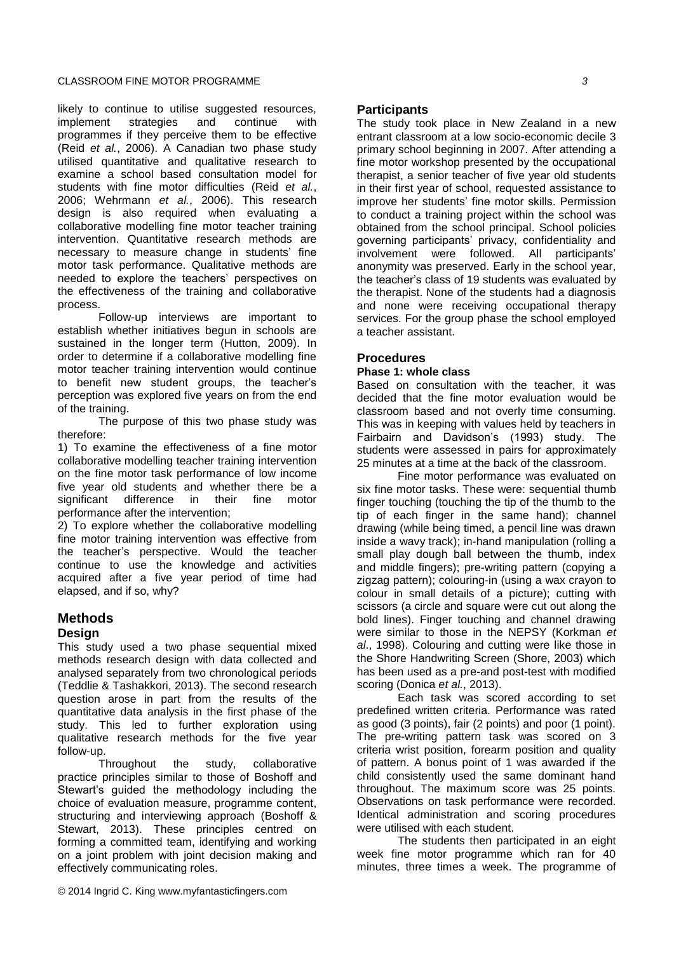likely to continue to utilise suggested resources, implement strategies and continue with programmes if they perceive them to be effective (Reid *et al.*, 2006). A Canadian two phase study utilised quantitative and qualitative research to examine a school based consultation model for students with fine motor difficulties (Reid *et al.*, 2006; Wehrmann *et al.*, 2006). This research design is also required when evaluating a collaborative modelling fine motor teacher training intervention. Quantitative research methods are necessary to measure change in students' fine motor task performance. Qualitative methods are needed to explore the teachers' perspectives on the effectiveness of the training and collaborative process.

Follow-up interviews are important to establish whether initiatives begun in schools are sustained in the longer term (Hutton, 2009). In order to determine if a collaborative modelling fine motor teacher training intervention would continue to benefit new student groups, the teacher's perception was explored five years on from the end of the training.

The purpose of this two phase study was therefore:

1) To examine the effectiveness of a fine motor collaborative modelling teacher training intervention on the fine motor task performance of low income five year old students and whether there be a significant difference in their fine motor performance after the intervention;

2) To explore whether the collaborative modelling fine motor training intervention was effective from the teacher's perspective. Would the teacher continue to use the knowledge and activities acquired after a five year period of time had elapsed, and if so, why?

# **Methods**

# **Design**

This study used a two phase sequential mixed methods research design with data collected and analysed separately from two chronological periods (Teddlie & Tashakkori, 2013). The second research question arose in part from the results of the quantitative data analysis in the first phase of the study. This led to further exploration using qualitative research methods for the five year follow-up.

Throughout the study, collaborative practice principles similar to those of Boshoff and Stewart's guided the methodology including the choice of evaluation measure, programme content, structuring and interviewing approach (Boshoff & Stewart, 2013). These principles centred on forming a committed team, identifying and working on a joint problem with joint decision making and effectively communicating roles.

# **Participants**

The study took place in New Zealand in a new entrant classroom at a low socio-economic decile 3 primary school beginning in 2007. After attending a fine motor workshop presented by the occupational therapist, a senior teacher of five year old students in their first year of school, requested assistance to improve her students' fine motor skills. Permission to conduct a training project within the school was obtained from the school principal. School policies governing participants' privacy, confidentiality and involvement were followed. All participants' anonymity was preserved. Early in the school year, the teacher's class of 19 students was evaluated by the therapist. None of the students had a diagnosis and none were receiving occupational therapy services. For the group phase the school employed a teacher assistant.

# **Procedures**

#### **Phase 1: whole class**

Based on consultation with the teacher, it was decided that the fine motor evaluation would be classroom based and not overly time consuming. This was in keeping with values held by teachers in Fairbairn and Davidson's (1993) study. The students were assessed in pairs for approximately 25 minutes at a time at the back of the classroom.

Fine motor performance was evaluated on six fine motor tasks. These were: sequential thumb finger touching (touching the tip of the thumb to the tip of each finger in the same hand); channel drawing (while being timed, a pencil line was drawn inside a wavy track); in-hand manipulation (rolling a small play dough ball between the thumb, index and middle fingers); pre-writing pattern (copying a zigzag pattern); colouring-in (using a wax crayon to colour in small details of a picture); cutting with scissors (a circle and square were cut out along the bold lines). Finger touching and channel drawing were similar to those in the NEPSY (Korkman *et al*., 1998). Colouring and cutting were like those in the Shore Handwriting Screen (Shore, 2003) which has been used as a pre-and post-test with modified scoring (Donica *et al.*, 2013).

Each task was scored according to set predefined written criteria. Performance was rated as good (3 points), fair (2 points) and poor (1 point). The pre-writing pattern task was scored on 3 criteria wrist position, forearm position and quality of pattern. A bonus point of 1 was awarded if the child consistently used the same dominant hand throughout. The maximum score was 25 points. Observations on task performance were recorded. Identical administration and scoring procedures were utilised with each student.

The students then participated in an eight week fine motor programme which ran for 40 minutes, three times a week. The programme of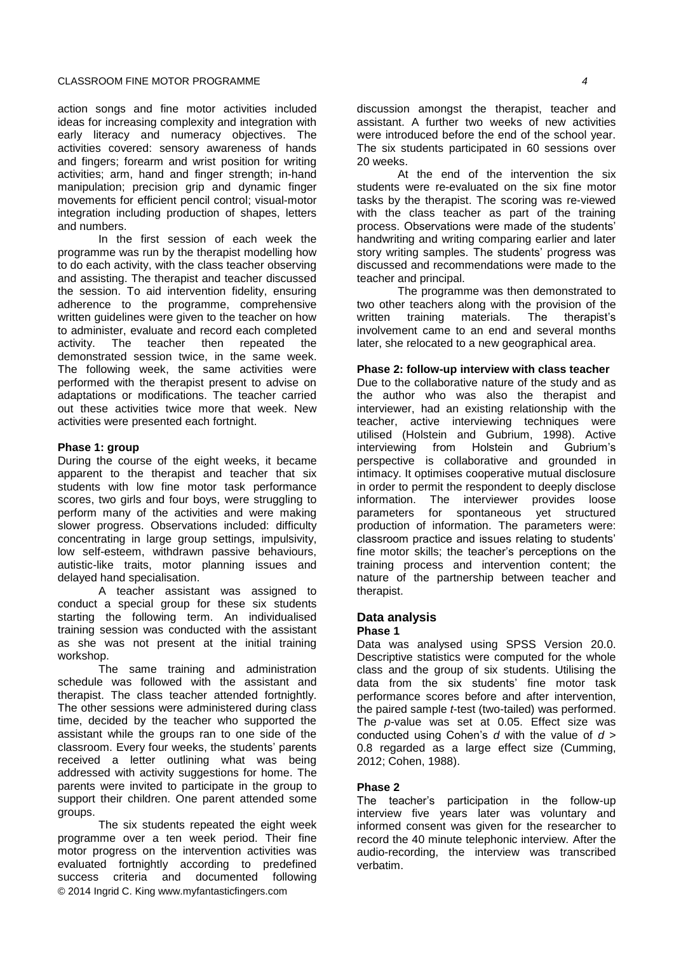action songs and fine motor activities included ideas for increasing complexity and integration with early literacy and numeracy objectives. The activities covered: sensory awareness of hands and fingers; forearm and wrist position for writing activities; arm, hand and finger strength; in-hand manipulation; precision grip and dynamic finger movements for efficient pencil control; visual-motor integration including production of shapes, letters and numbers.

In the first session of each week the programme was run by the therapist modelling how to do each activity, with the class teacher observing and assisting. The therapist and teacher discussed the session. To aid intervention fidelity, ensuring adherence to the programme, comprehensive written guidelines were given to the teacher on how to administer, evaluate and record each completed activity. The teacher then repeated the demonstrated session twice, in the same week. The following week, the same activities were performed with the therapist present to advise on adaptations or modifications. The teacher carried out these activities twice more that week. New activities were presented each fortnight.

#### **Phase 1: group**

During the course of the eight weeks, it became apparent to the therapist and teacher that six students with low fine motor task performance scores, two girls and four boys, were struggling to perform many of the activities and were making slower progress. Observations included: difficulty concentrating in large group settings, impulsivity, low self-esteem, withdrawn passive behaviours, autistic-like traits, motor planning issues and delayed hand specialisation.

A teacher assistant was assigned to conduct a special group for these six students starting the following term. An individualised training session was conducted with the assistant as she was not present at the initial training workshop.

The same training and administration schedule was followed with the assistant and therapist. The class teacher attended fortnightly. The other sessions were administered during class time, decided by the teacher who supported the assistant while the groups ran to one side of the classroom. Every four weeks, the students' parents received a letter outlining what was being addressed with activity suggestions for home. The parents were invited to participate in the group to support their children. One parent attended some groups.

© 2014 Ingrid C. King www.myfantasticfingers.com The six students repeated the eight week programme over a ten week period. Their fine motor progress on the intervention activities was evaluated fortnightly according to predefined success criteria and documented following

discussion amongst the therapist, teacher and assistant. A further two weeks of new activities were introduced before the end of the school year. The six students participated in 60 sessions over 20 weeks.

At the end of the intervention the six students were re-evaluated on the six fine motor tasks by the therapist. The scoring was re-viewed with the class teacher as part of the training process. Observations were made of the students' handwriting and writing comparing earlier and later story writing samples. The students' progress was discussed and recommendations were made to the teacher and principal.

The programme was then demonstrated to two other teachers along with the provision of the written training materials. The therapist's involvement came to an end and several months later, she relocated to a new geographical area.

#### **Phase 2: follow-up interview with class teacher**

Due to the collaborative nature of the study and as the author who was also the therapist and interviewer, had an existing relationship with the teacher, active interviewing techniques were utilised (Holstein and Gubrium, 1998). Active interviewing from Holstein and Gubrium's perspective is collaborative and grounded in intimacy. It optimises cooperative mutual disclosure in order to permit the respondent to deeply disclose information. The interviewer provides loose parameters for spontaneous yet structured production of information. The parameters were: classroom practice and issues relating to students' fine motor skills; the teacher's perceptions on the training process and intervention content; the nature of the partnership between teacher and therapist.

# **Data analysis**

#### **Phase 1**

Data was analysed using SPSS Version 20.0. Descriptive statistics were computed for the whole class and the group of six students. Utilising the data from the six students' fine motor task performance scores before and after intervention, the paired sample *t*-test (two-tailed) was performed. The *p*-value was set at 0.05. Effect size was conducted using Cohen's *d* with the value of *d* > 0.8 regarded as a large effect size (Cumming, 2012; Cohen, 1988).

#### **Phase 2**

The teacher's participation in the follow-up interview five years later was voluntary and informed consent was given for the researcher to record the 40 minute telephonic interview. After the audio-recording, the interview was transcribed verbatim.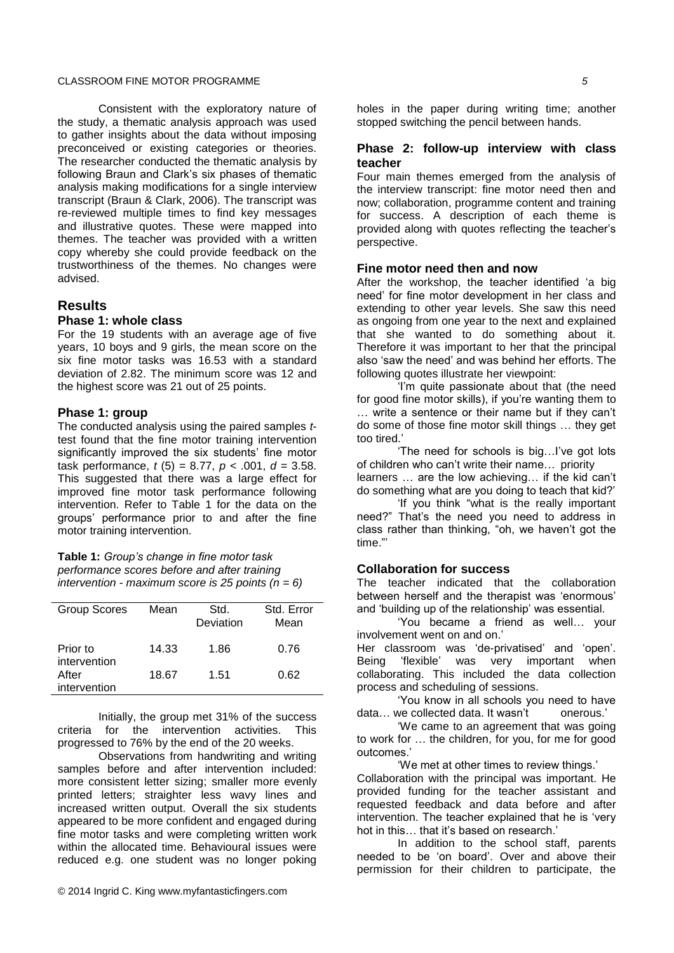### CLASSROOM FINE MOTOR PROGRAMME *5*

Consistent with the exploratory nature of the study, a thematic analysis approach was used to gather insights about the data without imposing preconceived or existing categories or theories. The researcher conducted the thematic analysis by following Braun and Clark's six phases of thematic analysis making modifications for a single interview transcript (Braun & Clark, 2006). The transcript was re-reviewed multiple times to find key messages and illustrative quotes. These were mapped into themes. The teacher was provided with a written copy whereby she could provide feedback on the trustworthiness of the themes. No changes were advised.

# **Results**

#### **Phase 1: whole class**

For the 19 students with an average age of five years, 10 boys and 9 girls, the mean score on the six fine motor tasks was 16.53 with a standard deviation of 2.82. The minimum score was 12 and the highest score was 21 out of 25 points.

#### **Phase 1: group**

The conducted analysis using the paired samples *t*test found that the fine motor training intervention significantly improved the six students' fine motor task performance, *t* (5) = 8.77, *p* < .001, *d* = 3.58. This suggested that there was a large effect for improved fine motor task performance following intervention. Refer to Table 1 for the data on the groups' performance prior to and after the fine motor training intervention.

**Table 1:** *Group's change in fine motor task performance scores before and after training intervention - maximum score is 25 points (n = 6)* 

| <b>Group Scores</b>      | Mean  | Std.<br>Deviation | Std. Error<br>Mean |
|--------------------------|-------|-------------------|--------------------|
| Prior to<br>intervention | 14.33 | 1.86              | 0.76               |
| After<br>intervention    | 18.67 | 1.51              | 0.62               |

Initially, the group met 31% of the success criteria for the intervention activities. This progressed to 76% by the end of the 20 weeks.

Observations from handwriting and writing samples before and after intervention included: more consistent letter sizing; smaller more evenly printed letters; straighter less wavy lines and increased written output. Overall the six students appeared to be more confident and engaged during fine motor tasks and were completing written work within the allocated time. Behavioural issues were reduced e.g. one student was no longer poking

holes in the paper during writing time; another stopped switching the pencil between hands.

# **Phase 2: follow-up interview with class teacher**

Four main themes emerged from the analysis of the interview transcript: fine motor need then and now; collaboration, programme content and training for success. A description of each theme is provided along with quotes reflecting the teacher's perspective.

### **Fine motor need then and now**

After the workshop, the teacher identified 'a big need' for fine motor development in her class and extending to other year levels. She saw this need as ongoing from one year to the next and explained that she wanted to do something about it. Therefore it was important to her that the principal also 'saw the need' and was behind her efforts. The following quotes illustrate her viewpoint:

'I'm quite passionate about that (the need for good fine motor skills), if you're wanting them to … write a sentence or their name but if they can't do some of those fine motor skill things … they get too tired.'

'The need for schools is big…I've got lots of children who can't write their name… priority learners … are the low achieving… if the kid can't do something what are you doing to teach that kid?'

'If you think "what is the really important need?" That's the need you need to address in class rather than thinking, "oh, we haven't got the time."'

#### **Collaboration for success**

The teacher indicated that the collaboration between herself and the therapist was 'enormous' and 'building up of the relationship' was essential.

'You became a friend as well… your involvement went on and on.'

Her classroom was 'de-privatised' and 'open'. Being 'flexible' was very important when collaborating. This included the data collection process and scheduling of sessions.

'You know in all schools you need to have data... we collected data. It wasn't onerous.'

'We came to an agreement that was going to work for … the children, for you, for me for good outcomes.'

'We met at other times to review things.'

Collaboration with the principal was important. He provided funding for the teacher assistant and requested feedback and data before and after intervention. The teacher explained that he is 'very hot in this… that it's based on research.'

In addition to the school staff, parents needed to be 'on board'. Over and above their permission for their children to participate, the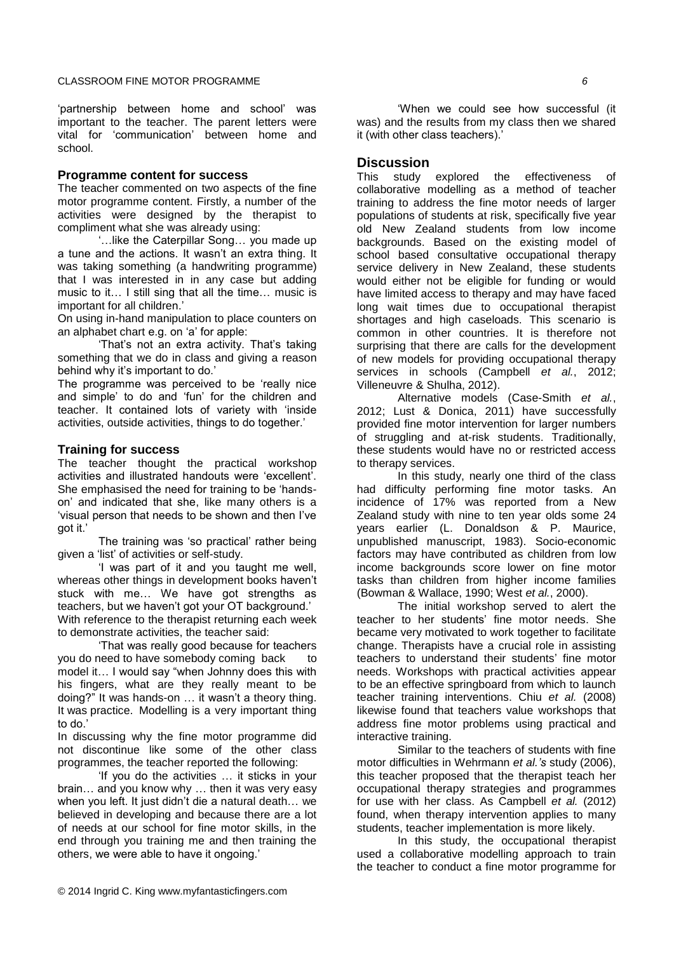'partnership between home and school' was important to the teacher. The parent letters were vital for 'communication' between home and school.

#### **Programme content for success**

The teacher commented on two aspects of the fine motor programme content. Firstly, a number of the activities were designed by the therapist to compliment what she was already using:

'…like the Caterpillar Song… you made up a tune and the actions. It wasn't an extra thing. It was taking something (a handwriting programme) that I was interested in in any case but adding music to it… I still sing that all the time… music is important for all children.'

On using in-hand manipulation to place counters on an alphabet chart e.g. on 'a' for apple:

'That's not an extra activity. That's taking something that we do in class and giving a reason behind why it's important to do.'

The programme was perceived to be 'really nice and simple' to do and 'fun' for the children and teacher. It contained lots of variety with 'inside activities, outside activities, things to do together.'

#### **Training for success**

The teacher thought the practical workshop activities and illustrated handouts were 'excellent'. She emphasised the need for training to be 'handson' and indicated that she, like many others is a 'visual person that needs to be shown and then I've got it.'

The training was 'so practical' rather being given a 'list' of activities or self-study.

'I was part of it and you taught me well, whereas other things in development books haven't stuck with me… We have got strengths as teachers, but we haven't got your OT background.' With reference to the therapist returning each week to demonstrate activities, the teacher said:

'That was really good because for teachers you do need to have somebody coming back to model it… I would say "when Johnny does this with his fingers, what are they really meant to be doing?" It was hands-on … it wasn't a theory thing. It was practice. Modelling is a very important thing to do.'

In discussing why the fine motor programme did not discontinue like some of the other class programmes, the teacher reported the following:

'If you do the activities … it sticks in your brain… and you know why … then it was very easy when you left. It just didn't die a natural death… we believed in developing and because there are a lot of needs at our school for fine motor skills, in the end through you training me and then training the others, we were able to have it ongoing.'

'When we could see how successful (it was) and the results from my class then we shared it (with other class teachers).'

### **Discussion**

This study explored the effectiveness of collaborative modelling as a method of teacher training to address the fine motor needs of larger populations of students at risk, specifically five year old New Zealand students from low income backgrounds. Based on the existing model of school based consultative occupational therapy service delivery in New Zealand, these students would either not be eligible for funding or would have limited access to therapy and may have faced long wait times due to occupational therapist shortages and high caseloads. This scenario is common in other countries. It is therefore not surprising that there are calls for the development of new models for providing occupational therapy services in schools (Campbell *et al.*, 2012; Villeneuvre & Shulha, 2012).

Alternative models (Case-Smith *et al.*, 2012; Lust & Donica, 2011) have successfully provided fine motor intervention for larger numbers of struggling and at-risk students. Traditionally, these students would have no or restricted access to therapy services.

In this study, nearly one third of the class had difficulty performing fine motor tasks. An incidence of 17% was reported from a New Zealand study with nine to ten year olds some 24 years earlier (L. Donaldson & P. Maurice, unpublished manuscript, 1983). Socio-economic factors may have contributed as children from low income backgrounds score lower on fine motor tasks than children from higher income families (Bowman & Wallace, 1990; West *et al.*, 2000).

The initial workshop served to alert the teacher to her students' fine motor needs. She became very motivated to work together to facilitate change. Therapists have a crucial role in assisting teachers to understand their students' fine motor needs. Workshops with practical activities appear to be an effective springboard from which to launch teacher training interventions. Chiu *et al.* (2008) likewise found that teachers value workshops that address fine motor problems using practical and interactive training.

Similar to the teachers of students with fine motor difficulties in Wehrmann *et al.'s* study (2006), this teacher proposed that the therapist teach her occupational therapy strategies and programmes for use with her class. As Campbell *et al.* (2012) found, when therapy intervention applies to many students, teacher implementation is more likely.

In this study, the occupational therapist used a collaborative modelling approach to train the teacher to conduct a fine motor programme for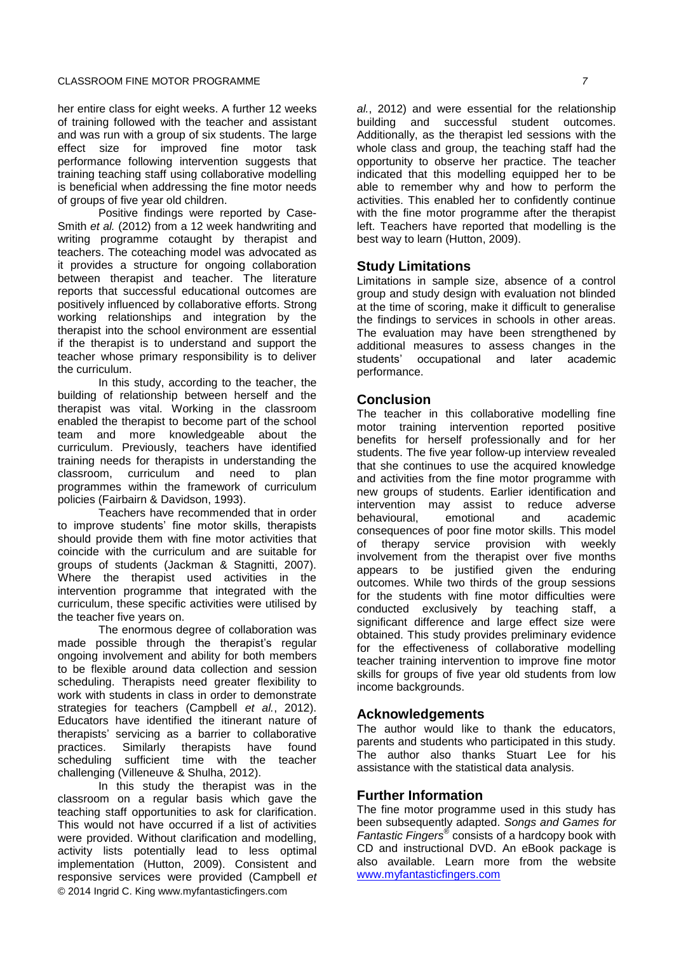her entire class for eight weeks. A further 12 weeks of training followed with the teacher and assistant and was run with a group of six students. The large effect size for improved fine motor task performance following intervention suggests that training teaching staff using collaborative modelling is beneficial when addressing the fine motor needs of groups of five year old children.

Positive findings were reported by Case-Smith *et al.* (2012) from a 12 week handwriting and writing programme cotaught by therapist and teachers. The coteaching model was advocated as it provides a structure for ongoing collaboration between therapist and teacher. The literature reports that successful educational outcomes are positively influenced by collaborative efforts. Strong working relationships and integration by the therapist into the school environment are essential if the therapist is to understand and support the teacher whose primary responsibility is to deliver the curriculum.

In this study, according to the teacher, the building of relationship between herself and the therapist was vital. Working in the classroom enabled the therapist to become part of the school team and more knowledgeable about the curriculum. Previously, teachers have identified training needs for therapists in understanding the classroom, curriculum and need to plan programmes within the framework of curriculum policies (Fairbairn & Davidson, 1993).

Teachers have recommended that in order to improve students' fine motor skills, therapists should provide them with fine motor activities that coincide with the curriculum and are suitable for groups of students (Jackman & Stagnitti, 2007). Where the therapist used activities in the intervention programme that integrated with the curriculum, these specific activities were utilised by the teacher five years on.

The enormous degree of collaboration was made possible through the therapist's regular ongoing involvement and ability for both members to be flexible around data collection and session scheduling. Therapists need greater flexibility to work with students in class in order to demonstrate strategies for teachers (Campbell *et al.*, 2012). Educators have identified the itinerant nature of therapists' servicing as a barrier to collaborative practices. Similarly therapists have found scheduling sufficient time with the teacher challenging (Villeneuve & Shulha, 2012).

© 2014 Ingrid C. King www.myfantasticfingers.com In this study the therapist was in the classroom on a regular basis which gave the teaching staff opportunities to ask for clarification. This would not have occurred if a list of activities were provided. Without clarification and modelling, activity lists potentially lead to less optimal implementation (Hutton, 2009). Consistent and responsive services were provided (Campbell *et*  *al.*, 2012) and were essential for the relationship building and successful student outcomes. Additionally, as the therapist led sessions with the whole class and group, the teaching staff had the opportunity to observe her practice. The teacher indicated that this modelling equipped her to be able to remember why and how to perform the activities. This enabled her to confidently continue with the fine motor programme after the therapist left. Teachers have reported that modelling is the best way to learn (Hutton, 2009).

# **Study Limitations**

Limitations in sample size, absence of a control group and study design with evaluation not blinded at the time of scoring, make it difficult to generalise the findings to services in schools in other areas. The evaluation may have been strengthened by additional measures to assess changes in the students' occupational and later academic performance.

# **Conclusion**

The teacher in this collaborative modelling fine motor training intervention reported positive benefits for herself professionally and for her students. The five year follow-up interview revealed that she continues to use the acquired knowledge and activities from the fine motor programme with new groups of students. Earlier identification and intervention may assist to reduce adverse behavioural, emotional and academic consequences of poor fine motor skills. This model of therapy service provision with weekly involvement from the therapist over five months appears to be justified given the enduring outcomes. While two thirds of the group sessions for the students with fine motor difficulties were conducted exclusively by teaching staff, a significant difference and large effect size were obtained. This study provides preliminary evidence for the effectiveness of collaborative modelling teacher training intervention to improve fine motor skills for groups of five year old students from low income backgrounds.

# **Acknowledgements**

The author would like to thank the educators, parents and students who participated in this study. The author also thanks Stuart Lee for his assistance with the statistical data analysis.

# **Further Information**

The fine motor programme used in this study has been subsequently adapted. *Songs and Games for Fantastic Fingers*® consists of a hardcopy book with CD and instructional DVD. An eBook package is also available. Learn more from the website [www.myfantasticfingers.com](http://www.myfantasticfingers.com/)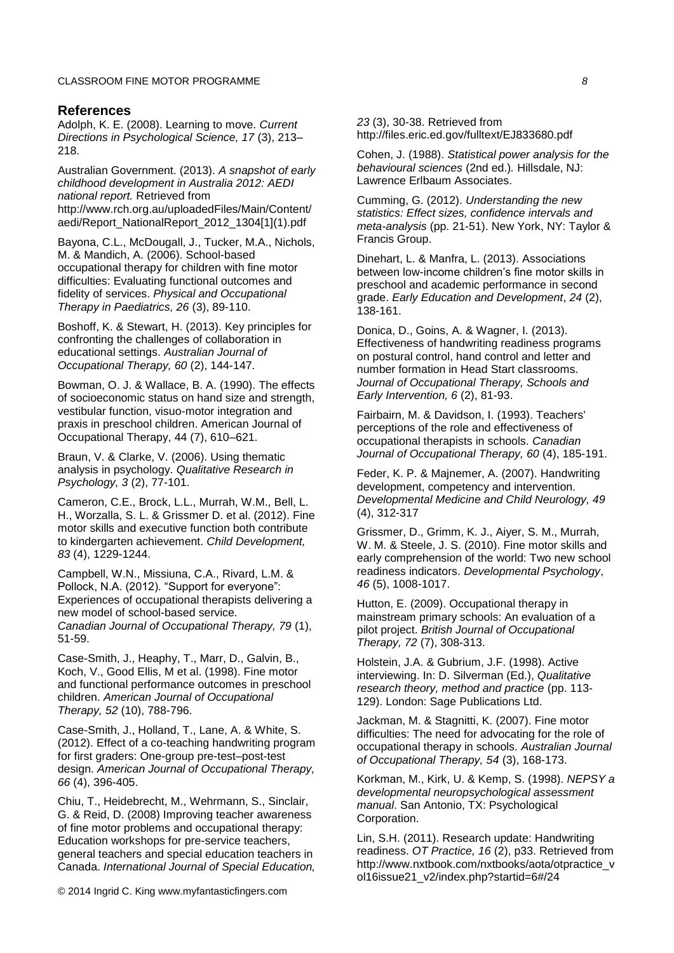#### **References**

Adolph, K. E. (2008). Learning to move. *Current Directions in Psychological Science, 17* (3), 213– 218.

Australian Government. (2013). *A snapshot of early childhood development in Australia 2012: AEDI national report.* Retrieved from http://www.rch.org.au/uploadedFiles/Main/Content/ aedi/Report\_NationalReport\_2012\_1304[1](1).pdf

Bayona, C.L., McDougall, J., [Tucker,](http://informahealthcare.com/action/doSearch?action=runSearch&type=advanced&result=true&prevSearch=%2Bauthorsfield%3A(Tucker%2C+Mary+Ann)) M.A., [Nichols,](http://informahealthcare.com/action/doSearch?action=runSearch&type=advanced&result=true&prevSearch=%2Bauthorsfield%3A(Nichols%2C+Megan)) M. & Mandich, A. (2006). School-based occupational therapy for children with fine motor difficulties: Evaluating functional outcomes and fidelity of services. *Physical and Occupational Therapy in Paediatrics, 26* (3), 89-110.

Boshoff, K. & Stewart, H. (2013). Key principles for confronting the challenges of collaboration in educational settings. *Australian Journal of Occupational Therapy, 60* (2), 144-147.

Bowman, O. J. & Wallace, B. A. (1990). The effects of socioeconomic status on hand size and strength, vestibular function, visuo-motor integration and praxis in preschool children. American Journal of Occupational Therapy, 44 (7), 610–621.

Braun, V. & Clarke, V. (2006). Using thematic analysis in psychology. *Qualitative Research in Psychology, 3* (2), 77-101.

Cameron, C.E., Brock, L.L., Murrah, W.M., Bell, L. H., Worzalla, S. L. & Grissmer D. et al. (2012). Fine motor skills and executive function both contribute to kindergarten achievement. *Child Development, 83* (4), 1229-1244.

Campbell, W.N., Missiuna, C.A., Rivard, L.M. & Pollock, N.A. (2012). "Support for everyone": Experiences of occupational therapists delivering a new model of school-based service. *Canadian Journal of Occupational Therapy, 79* (1), 51-59.

[Case-Smith,](http://ajot.aotapress.net/search?author1=Jane+Case-Smith&sortspec=date&submit=Submit) J., [Heaphy,](http://ajot.aotapress.net/search?author1=Terri+Heaphy&sortspec=date&submit=Submit) T., Marr, D., Galvin, B., Koch, V., Good Ellis, M et al. (1998). Fine motor and functional performance outcomes in preschool children. *American Journal of Occupational Therapy, 52* (10), 788-796.

Case-Smith, J., Holland, T., Lane, A. & White, S. (2012). Effect of a co-teaching handwriting program for first graders: One-group pre-test–post-test design. *American Journal of Occupational Therapy, 66* (4), 396-405.

Chiu, T., Heidebrecht, M., Wehrmann, S., Sinclair, G. & Reid, D. (2008) Improving teacher awareness of fine motor problems and occupational therapy: Education workshops for pre-service teachers, general teachers and special education teachers in Canada. *International Journal of Special Education,*

© 2014 Ingrid C. King www.myfantasticfingers.com

*23* (3), 30-38. Retrieved from http://files.eric.ed.gov/fulltext/EJ833680.pdf

Cohen, J. (1988). *Statistical power analysis for the behavioural sciences* (2nd ed.)*.* Hillsdale, NJ: Lawrence Erlbaum Associates.

Cumming, G. (2012). *Understanding the new statistics: Effect sizes, confidence intervals and meta-analysis* (pp. 21-51). New York, NY: Taylor & Francis Group.

Dinehart, L. & Manfra, L. (2013). Associations between low-income children's fine motor skills in preschool and academic performance in second grade. *Early Education and Development*, *24* (2), 138-161.

Donica, D., Goins, A. & Wagner, I. (2013). Effectiveness of handwriting readiness programs on postural control, hand control and letter and number formation in Head Start classrooms. *Journal of Occupational Therapy, Schools and Early Intervention, 6* (2), 81-93.

Fairbairn, M. & Davidson, I. (1993). Teachers' perceptions of the role and effectiveness of occupational therapists in schools. *Canadian Journal of Occupational Therapy, 60* (4), 185-191.

Feder, K. P. & Majnemer, A. (2007). Handwriting development, competency and intervention. *Developmental Medicine and Child Neurology, 49* (4), 312-317

Grissmer, D., Grimm, K. J., Aiyer, S. M., Murrah, W. M. & Steele, J. S. (2010). Fine motor skills and early comprehension of the world: Two new school readiness indicators. *Developmental Psychology*, *46* (5), 1008-1017.

Hutton, E. (2009). Occupational therapy in mainstream primary schools: An evaluation of a pilot project. *British Journal of Occupational Therapy, 72* (7), 308-313.

Holstein, J.A. & Gubrium, J.F. (1998). Active interviewing. In: D. Silverman (Ed.), *Qualitative research theory, method and practice* (pp. 113- 129). London: Sage Publications Ltd.

Jackman, M. & Stagnitti, K. (2007). Fine motor difficulties: The need for advocating for the role of occupational therapy in schools. *Australian Journal of Occupational Therapy, 54* (3), 168-173.

Korkman, M., Kirk, U. & Kemp, S. (1998). *NEPSY a developmental neuropsychological assessment manual*. San Antonio, TX: Psychological Corporation.

Lin, S.H. (2011). Research update: Handwriting readiness. *OT Practice, 16* (2), p33. Retrieved from http://www.nxtbook.com/nxtbooks/aota/otpractice\_v ol16issue21\_v2/index.php?startid=6#/24